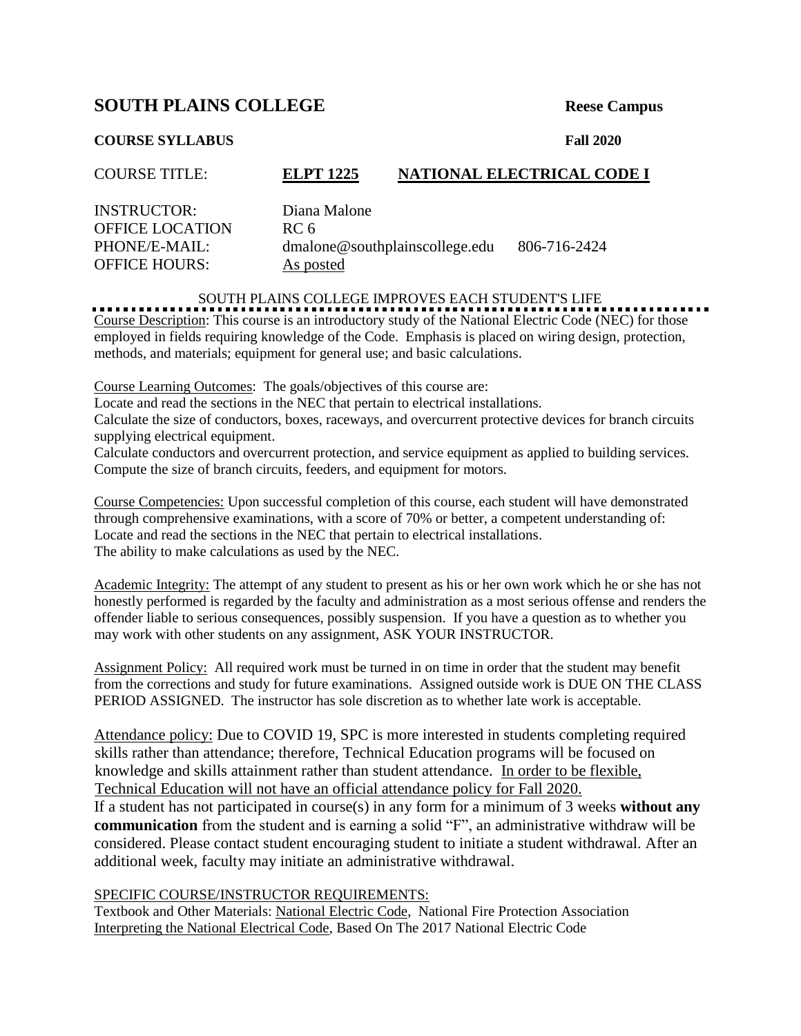## **SOUTH PLAINS COLLEGE** Reese Campus

## **COURSE SYLLABUS Fall 2020**

| <b>COURSE TITLE:</b>   | <b>ELPT 1225</b>               | NATIONAL ELECTRICAL CODE I |
|------------------------|--------------------------------|----------------------------|
| <b>INSTRUCTOR:</b>     | Diana Malone                   |                            |
| <b>OFFICE LOCATION</b> | RC 6                           |                            |
| PHONE/E-MAIL:          | dmalone@southplainscollege.edu | 806-716-2424               |
| <b>OFFICE HOURS:</b>   | As posted                      |                            |

SOUTH PLAINS COLLEGE IMPROVES EACH STUDENT'S LIFE

Course Description: This course is an introductory study of the National Electric Code (NEC) for those employed in fields requiring knowledge of the Code. Emphasis is placed on wiring design, protection, methods, and materials; equipment for general use; and basic calculations.

Course Learning Outcomes: The goals/objectives of this course are:

Locate and read the sections in the NEC that pertain to electrical installations.

Calculate the size of conductors, boxes, raceways, and overcurrent protective devices for branch circuits supplying electrical equipment.

Calculate conductors and overcurrent protection, and service equipment as applied to building services. Compute the size of branch circuits, feeders, and equipment for motors.

Course Competencies: Upon successful completion of this course, each student will have demonstrated through comprehensive examinations, with a score of 70% or better, a competent understanding of: Locate and read the sections in the NEC that pertain to electrical installations. The ability to make calculations as used by the NEC.

Academic Integrity: The attempt of any student to present as his or her own work which he or she has not honestly performed is regarded by the faculty and administration as a most serious offense and renders the offender liable to serious consequences, possibly suspension. If you have a question as to whether you may work with other students on any assignment, ASK YOUR INSTRUCTOR.

Assignment Policy: All required work must be turned in on time in order that the student may benefit from the corrections and study for future examinations. Assigned outside work is DUE ON THE CLASS PERIOD ASSIGNED. The instructor has sole discretion as to whether late work is acceptable.

Attendance policy: Due to COVID 19, SPC is more interested in students completing required skills rather than attendance; therefore, Technical Education programs will be focused on knowledge and skills attainment rather than student attendance. In order to be flexible, Technical Education will not have an official attendance policy for Fall 2020.

If a student has not participated in course(s) in any form for a minimum of 3 weeks **without any communication** from the student and is earning a solid "F", an administrative withdraw will be considered. Please contact student encouraging student to initiate a student withdrawal. After an additional week, faculty may initiate an administrative withdrawal.

## SPECIFIC COURSE/INSTRUCTOR REQUIREMENTS:

Textbook and Other Materials: National Electric Code, National Fire Protection Association Interpreting the National Electrical Code, Based On The 2017 National Electric Code